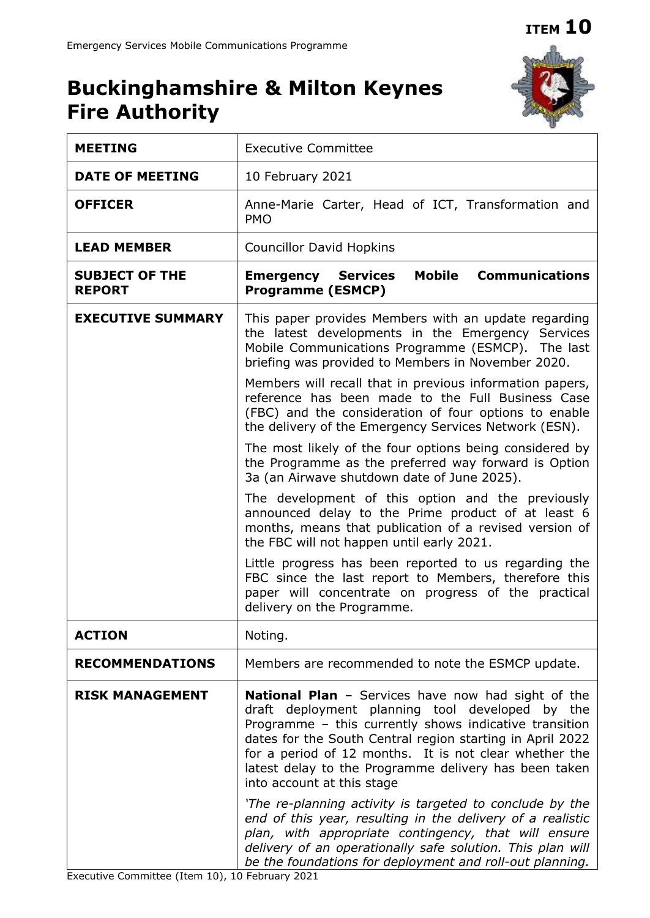## **ITEM 10**

# **Buckinghamshire & Milton Keynes Fire Authority**



| <b>MEETING</b>                         | <b>Executive Committee</b>                                                                                                                                                                                                                                                                                                                                                                                                                                                                                                                                                                                                                                                                       |  |  |
|----------------------------------------|--------------------------------------------------------------------------------------------------------------------------------------------------------------------------------------------------------------------------------------------------------------------------------------------------------------------------------------------------------------------------------------------------------------------------------------------------------------------------------------------------------------------------------------------------------------------------------------------------------------------------------------------------------------------------------------------------|--|--|
| <b>DATE OF MEETING</b>                 | 10 February 2021                                                                                                                                                                                                                                                                                                                                                                                                                                                                                                                                                                                                                                                                                 |  |  |
| <b>OFFICER</b>                         | Anne-Marie Carter, Head of ICT, Transformation and<br><b>PMO</b>                                                                                                                                                                                                                                                                                                                                                                                                                                                                                                                                                                                                                                 |  |  |
| <b>LEAD MEMBER</b>                     | <b>Councillor David Hopkins</b>                                                                                                                                                                                                                                                                                                                                                                                                                                                                                                                                                                                                                                                                  |  |  |
| <b>SUBJECT OF THE</b><br><b>REPORT</b> | <b>Mobile Communications</b><br><b>Emergency Services</b><br><b>Programme (ESMCP)</b>                                                                                                                                                                                                                                                                                                                                                                                                                                                                                                                                                                                                            |  |  |
| <b>EXECUTIVE SUMMARY</b>               | This paper provides Members with an update regarding<br>the latest developments in the Emergency Services<br>Mobile Communications Programme (ESMCP). The last<br>briefing was provided to Members in November 2020.                                                                                                                                                                                                                                                                                                                                                                                                                                                                             |  |  |
|                                        | Members will recall that in previous information papers,<br>reference has been made to the Full Business Case<br>(FBC) and the consideration of four options to enable<br>the delivery of the Emergency Services Network (ESN).                                                                                                                                                                                                                                                                                                                                                                                                                                                                  |  |  |
|                                        | The most likely of the four options being considered by<br>the Programme as the preferred way forward is Option<br>3a (an Airwave shutdown date of June 2025).                                                                                                                                                                                                                                                                                                                                                                                                                                                                                                                                   |  |  |
|                                        | The development of this option and the previously<br>announced delay to the Prime product of at least 6<br>months, means that publication of a revised version of<br>the FBC will not happen until early 2021.                                                                                                                                                                                                                                                                                                                                                                                                                                                                                   |  |  |
|                                        | Little progress has been reported to us regarding the<br>FBC since the last report to Members, therefore this<br>paper will concentrate on progress of the practical<br>delivery on the Programme.                                                                                                                                                                                                                                                                                                                                                                                                                                                                                               |  |  |
| <b>ACTION</b>                          | Noting.                                                                                                                                                                                                                                                                                                                                                                                                                                                                                                                                                                                                                                                                                          |  |  |
| <b>RECOMMENDATIONS</b>                 | Members are recommended to note the ESMCP update.                                                                                                                                                                                                                                                                                                                                                                                                                                                                                                                                                                                                                                                |  |  |
| <b>RISK MANAGEMENT</b>                 | <b>National Plan</b> - Services have now had sight of the<br>draft deployment planning tool developed by the<br>Programme - this currently shows indicative transition<br>dates for the South Central region starting in April 2022<br>for a period of 12 months. It is not clear whether the<br>latest delay to the Programme delivery has been taken<br>into account at this stage<br>'The re-planning activity is targeted to conclude by the<br>end of this year, resulting in the delivery of a realistic<br>plan, with appropriate contingency, that will ensure<br>delivery of an operationally safe solution. This plan will<br>be the foundations for deployment and roll-out planning. |  |  |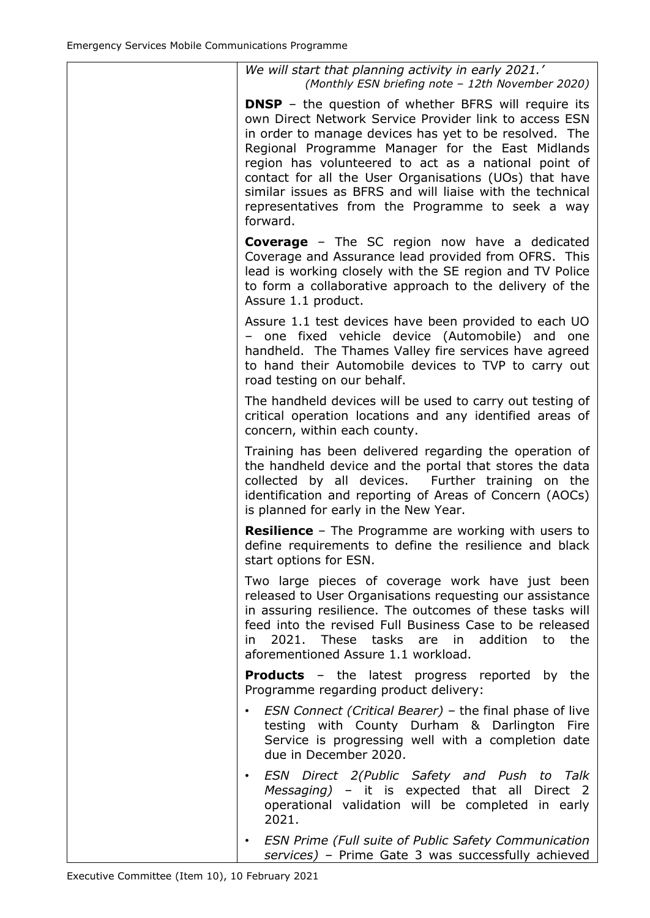| We will start that planning activity in early 2021.'<br>(Monthly ESN briefing note - 12th November 2020)                                                                                                                                                                                                                                                                                                                                                                           |
|------------------------------------------------------------------------------------------------------------------------------------------------------------------------------------------------------------------------------------------------------------------------------------------------------------------------------------------------------------------------------------------------------------------------------------------------------------------------------------|
| <b>DNSP</b> – the question of whether BFRS will require its<br>own Direct Network Service Provider link to access ESN<br>in order to manage devices has yet to be resolved. The<br>Regional Programme Manager for the East Midlands<br>region has volunteered to act as a national point of<br>contact for all the User Organisations (UOs) that have<br>similar issues as BFRS and will liaise with the technical<br>representatives from the Programme to seek a way<br>forward. |
| <b>Coverage</b> - The SC region now have a dedicated<br>Coverage and Assurance lead provided from OFRS. This<br>lead is working closely with the SE region and TV Police<br>to form a collaborative approach to the delivery of the<br>Assure 1.1 product.                                                                                                                                                                                                                         |
| Assure 1.1 test devices have been provided to each UO<br>one fixed vehicle device (Automobile) and one<br>handheld. The Thames Valley fire services have agreed<br>to hand their Automobile devices to TVP to carry out<br>road testing on our behalf.                                                                                                                                                                                                                             |
| The handheld devices will be used to carry out testing of<br>critical operation locations and any identified areas of<br>concern, within each county.                                                                                                                                                                                                                                                                                                                              |
| Training has been delivered regarding the operation of<br>the handheld device and the portal that stores the data<br>collected by all devices. Further training on the<br>identification and reporting of Areas of Concern (AOCs)<br>is planned for early in the New Year.                                                                                                                                                                                                         |
| <b>Resilience</b> - The Programme are working with users to<br>define requirements to define the resilience and black<br>start options for ESN.                                                                                                                                                                                                                                                                                                                                    |
| Two large pieces of coverage work have just been<br>released to User Organisations requesting our assistance<br>in assuring resilience. The outcomes of these tasks will<br>feed into the revised Full Business Case to be released<br>2021. These tasks are in addition to the<br>in l<br>aforementioned Assure 1.1 workload.                                                                                                                                                     |
| <b>Products</b> - the latest progress reported by the<br>Programme regarding product delivery:                                                                                                                                                                                                                                                                                                                                                                                     |
| <i>ESN Connect (Critical Bearer)</i> – the final phase of live<br>testing with County Durham & Darlington Fire<br>Service is progressing well with a completion date<br>due in December 2020.                                                                                                                                                                                                                                                                                      |
| ESN Direct 2(Public Safety and Push to Talk<br>$\bullet$<br>Messaging) - it is expected that all Direct 2<br>operational validation will be completed in early<br>2021.                                                                                                                                                                                                                                                                                                            |
| <b>ESN Prime (Full suite of Public Safety Communication</b><br>$\bullet$<br>services) - Prime Gate 3 was successfully achieved                                                                                                                                                                                                                                                                                                                                                     |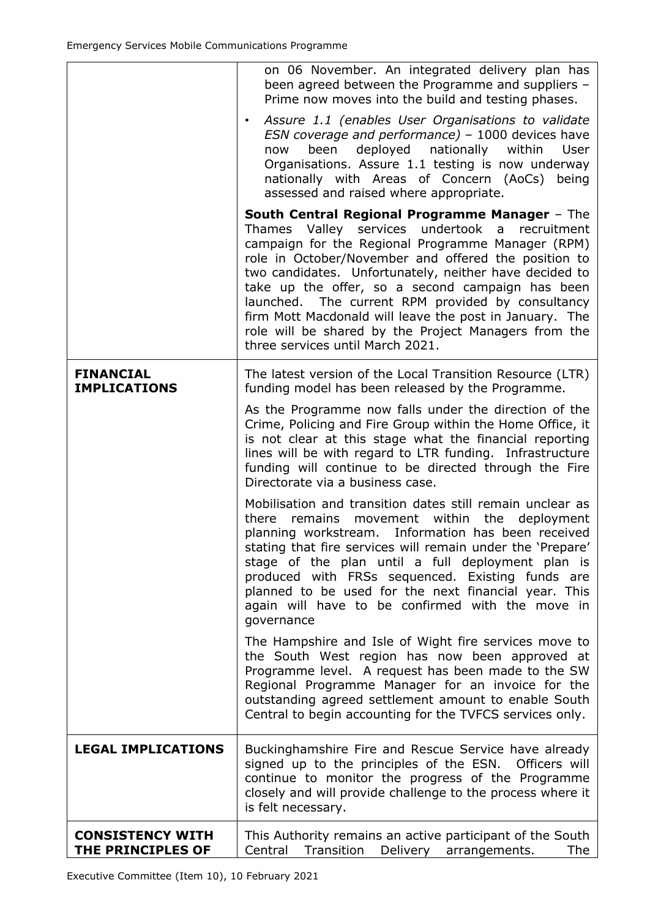|                                              | on 06 November. An integrated delivery plan has<br>been agreed between the Programme and suppliers -<br>Prime now moves into the build and testing phases.<br>Assure 1.1 (enables User Organisations to validate<br>$\bullet$<br>ESN coverage and performance) - 1000 devices have<br>deployed<br>nationally<br>been<br>within<br><b>User</b><br>now<br>Organisations. Assure 1.1 testing is now underway<br>nationally with Areas of Concern (AoCs) being<br>assessed and raised where appropriate.                                                 |
|----------------------------------------------|------------------------------------------------------------------------------------------------------------------------------------------------------------------------------------------------------------------------------------------------------------------------------------------------------------------------------------------------------------------------------------------------------------------------------------------------------------------------------------------------------------------------------------------------------|
|                                              | <b>South Central Regional Programme Manager - The</b><br>Thames Valley services undertook<br>a<br>recruitment<br>campaign for the Regional Programme Manager (RPM)<br>role in October/November and offered the position to<br>two candidates. Unfortunately, neither have decided to<br>take up the offer, so a second campaign has been<br>launched. The current RPM provided by consultancy<br>firm Mott Macdonald will leave the post in January. The<br>role will be shared by the Project Managers from the<br>three services until March 2021. |
| <b>FINANCIAL</b><br><b>IMPLICATIONS</b>      | The latest version of the Local Transition Resource (LTR)<br>funding model has been released by the Programme.                                                                                                                                                                                                                                                                                                                                                                                                                                       |
|                                              | As the Programme now falls under the direction of the<br>Crime, Policing and Fire Group within the Home Office, it<br>is not clear at this stage what the financial reporting<br>lines will be with regard to LTR funding. Infrastructure<br>funding will continue to be directed through the Fire<br>Directorate via a business case.                                                                                                                                                                                                               |
|                                              | Mobilisation and transition dates still remain unclear as<br>within<br>the<br>deployment<br>there<br>remains<br>movement<br>planning workstream. Information has been received<br>stating that fire services will remain under the 'Prepare'<br>stage of the plan until a full deployment plan is<br>produced with FRSs sequenced. Existing funds are<br>planned to be used for the next financial year. This<br>again will have to be confirmed with the move in<br>governance                                                                      |
|                                              | The Hampshire and Isle of Wight fire services move to<br>the South West region has now been approved at<br>Programme level. A request has been made to the SW<br>Regional Programme Manager for an invoice for the<br>outstanding agreed settlement amount to enable South<br>Central to begin accounting for the TVFCS services only.                                                                                                                                                                                                               |
| <b>LEGAL IMPLICATIONS</b>                    | Buckinghamshire Fire and Rescue Service have already<br>signed up to the principles of the ESN. Officers will<br>continue to monitor the progress of the Programme<br>closely and will provide challenge to the process where it<br>is felt necessary.                                                                                                                                                                                                                                                                                               |
| <b>CONSISTENCY WITH</b><br>THE PRINCIPLES OF | This Authority remains an active participant of the South<br>Central<br>Transition<br>Delivery arrangements.<br>The                                                                                                                                                                                                                                                                                                                                                                                                                                  |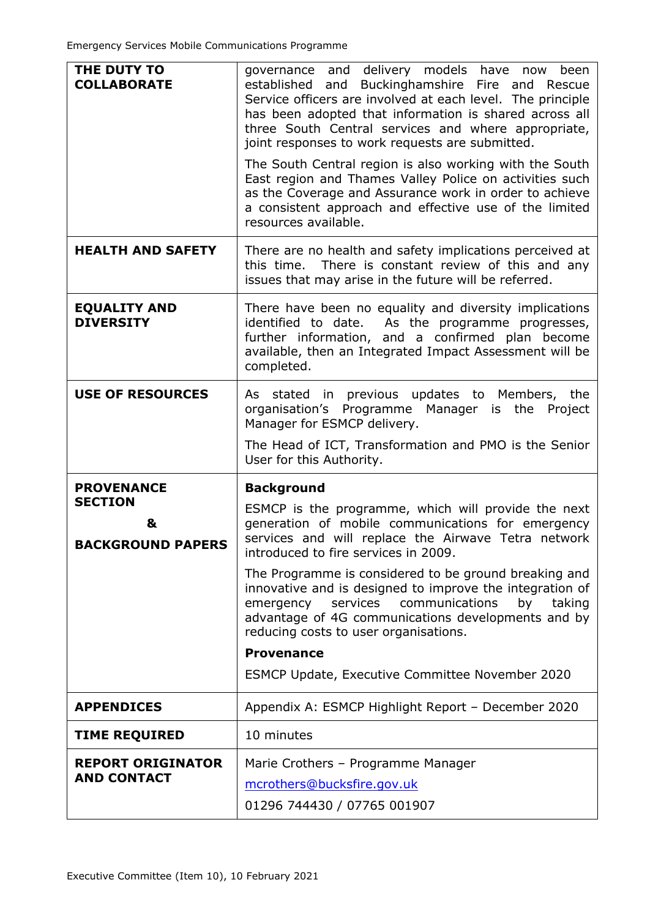| THE DUTY TO<br><b>COLLABORATE</b>                                    | governance and delivery models have now<br>been<br>established and Buckinghamshire<br>Fire and<br>Rescue<br>Service officers are involved at each level. The principle<br>has been adopted that information is shared across all<br>three South Central services and where appropriate,<br>joint responses to work requests are submitted.<br>The South Central region is also working with the South<br>East region and Thames Valley Police on activities such<br>as the Coverage and Assurance work in order to achieve<br>a consistent approach and effective use of the limited<br>resources available. |  |
|----------------------------------------------------------------------|--------------------------------------------------------------------------------------------------------------------------------------------------------------------------------------------------------------------------------------------------------------------------------------------------------------------------------------------------------------------------------------------------------------------------------------------------------------------------------------------------------------------------------------------------------------------------------------------------------------|--|
| <b>HEALTH AND SAFETY</b>                                             | There are no health and safety implications perceived at<br>this time. There is constant review of this and any<br>issues that may arise in the future will be referred.                                                                                                                                                                                                                                                                                                                                                                                                                                     |  |
| <b>EQUALITY AND</b><br><b>DIVERSITY</b>                              | There have been no equality and diversity implications<br>identified to date. As the programme progresses,<br>further information, and a confirmed plan become<br>available, then an Integrated Impact Assessment will be<br>completed.                                                                                                                                                                                                                                                                                                                                                                      |  |
| <b>USE OF RESOURCES</b>                                              | As stated in previous updates to Members, the<br>organisation's Programme Manager is the Project<br>Manager for ESMCP delivery.<br>The Head of ICT, Transformation and PMO is the Senior                                                                                                                                                                                                                                                                                                                                                                                                                     |  |
|                                                                      | User for this Authority.                                                                                                                                                                                                                                                                                                                                                                                                                                                                                                                                                                                     |  |
|                                                                      |                                                                                                                                                                                                                                                                                                                                                                                                                                                                                                                                                                                                              |  |
| <b>PROVENANCE</b><br><b>SECTION</b><br>&<br><b>BACKGROUND PAPERS</b> | <b>Background</b><br>ESMCP is the programme, which will provide the next<br>generation of mobile communications for emergency<br>services and will replace the Airwave Tetra network<br>introduced to fire services in 2009.                                                                                                                                                                                                                                                                                                                                                                                 |  |
|                                                                      | The Programme is considered to be ground breaking and<br>innovative and is designed to improve the integration of<br>emergency services communications<br>by<br>taking<br>advantage of 4G communications developments and by<br>reducing costs to user organisations.<br><b>Provenance</b><br>ESMCP Update, Executive Committee November 2020                                                                                                                                                                                                                                                                |  |
| <b>APPENDICES</b>                                                    | Appendix A: ESMCP Highlight Report - December 2020                                                                                                                                                                                                                                                                                                                                                                                                                                                                                                                                                           |  |
| <b>TIME REQUIRED</b>                                                 | 10 minutes                                                                                                                                                                                                                                                                                                                                                                                                                                                                                                                                                                                                   |  |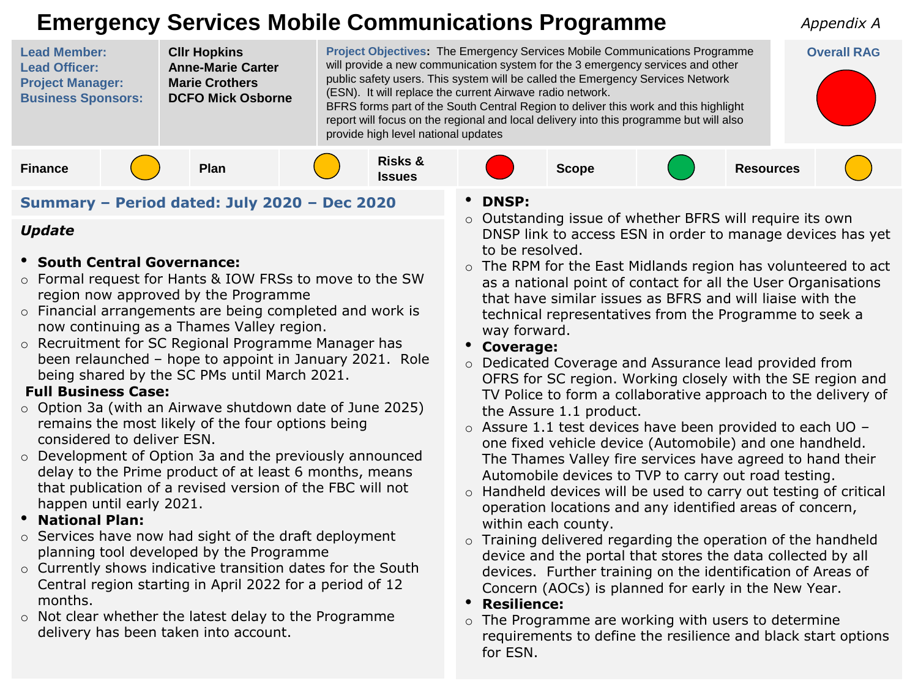## **Emergency Services Mobile Communications Programme**



#### **Summary – Period dated: July 2020 – Dec 2020**

#### *Update*

- **South Central Governance:**
- o Formal request for Hants & IOW FRSs to move to the SW region now approved by the Programme
- o Financial arrangements are being completed and work is now continuing as a Thames Valley region.
- o Recruitment for SC Regional Programme Manager has been relaunched – hope to appoint in January 2021. Role being shared by the SC PMs until March 2021.

#### **Full Business Case:**

- $\circ$  Option 3a (with an Airwave shutdown date of June 2025) remains the most likely of the four options being considered to deliver ESN.
- o Development of Option 3a and the previously announced delay to the Prime product of at least 6 months, means that publication of a revised version of the FBC will not happen until early 2021.
- **National Plan:**
- o Services have now had sight of the draft deployment planning tool developed by the Programme
- o Currently shows indicative transition dates for the South Central region starting in April 2022 for a period of 12 months.
- o Not clear whether the latest delay to the Programme delivery has been taken into account.
- **DNSP:**
- o Outstanding issue of whether BFRS will require its own DNSP link to access ESN in order to manage devices has yet to be resolved.

*Appendix A*

- o The RPM for the East Midlands region has volunteered to act as a national point of contact for all the User Organisations that have similar issues as BFRS and will liaise with the technical representatives from the Programme to seek a way forward.
- **Coverage:**
- o Dedicated Coverage and Assurance lead provided from OFRS for SC region. Working closely with the SE region and TV Police to form a collaborative approach to the delivery of the Assure 1.1 product.
- o Assure 1.1 test devices have been provided to each UO one fixed vehicle device (Automobile) and one handheld. The Thames Valley fire services have agreed to hand their Automobile devices to TVP to carry out road testing.
- o Handheld devices will be used to carry out testing of critical operation locations and any identified areas of concern, within each county.
- o Training delivered regarding the operation of the handheld device and the portal that stores the data collected by all devices. Further training on the identification of Areas of Concern (AOCs) is planned for early in the New Year.
- **Resilience:**
- o The Programme are working with users to determine requirements to define the resilience and black start options for ESN.